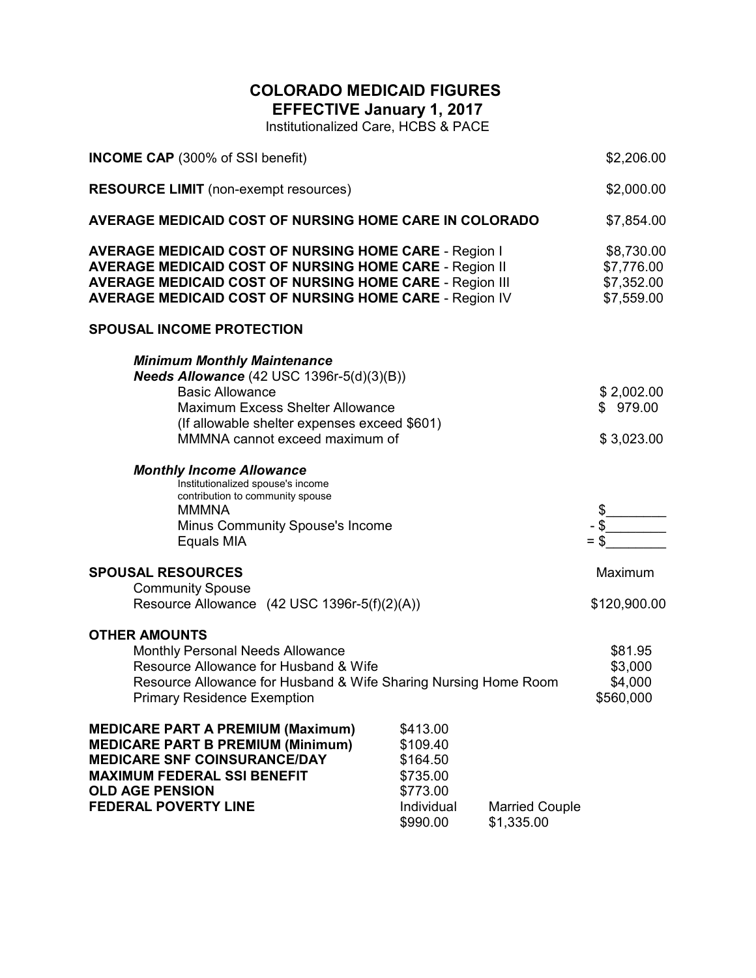## COLORADO MEDICAID FIGURES EFFECTIVE January 1, 2017

Institutionalized Care, HCBS & PACE

| <b>INCOME CAP</b> (300% of SSI benefit)                                                                                                                                                                                                                          |                                                                                    |                                     | \$2,206.00                                           |
|------------------------------------------------------------------------------------------------------------------------------------------------------------------------------------------------------------------------------------------------------------------|------------------------------------------------------------------------------------|-------------------------------------|------------------------------------------------------|
| <b>RESOURCE LIMIT</b> (non-exempt resources)                                                                                                                                                                                                                     |                                                                                    |                                     | \$2,000.00                                           |
| AVERAGE MEDICAID COST OF NURSING HOME CARE IN COLORADO                                                                                                                                                                                                           |                                                                                    |                                     | \$7,854.00                                           |
| <b>AVERAGE MEDICAID COST OF NURSING HOME CARE - Region I</b><br><b>AVERAGE MEDICAID COST OF NURSING HOME CARE - Region II</b><br><b>AVERAGE MEDICAID COST OF NURSING HOME CARE - Region III</b><br><b>AVERAGE MEDICAID COST OF NURSING HOME CARE - Region IV</b> |                                                                                    |                                     | \$8,730.00<br>\$7,776.00<br>\$7,352.00<br>\$7,559.00 |
| <b>SPOUSAL INCOME PROTECTION</b>                                                                                                                                                                                                                                 |                                                                                    |                                     |                                                      |
| <b>Minimum Monthly Maintenance</b><br><b>Needs Allowance</b> (42 USC 1396r-5(d)(3)(B))<br><b>Basic Allowance</b><br><b>Maximum Excess Shelter Allowance</b><br>(If allowable shelter expenses exceed \$601)<br>MMMNA cannot exceed maximum of                    |                                                                                    |                                     | \$2,002.00<br>\$979.00<br>\$3,023.00                 |
| <b>Monthly Income Allowance</b><br>Institutionalized spouse's income<br>contribution to community spouse<br><b>MMMNA</b><br>Minus Community Spouse's Income<br>Equals MIA                                                                                        |                                                                                    |                                     | \$                                                   |
| <b>SPOUSAL RESOURCES</b><br><b>Community Spouse</b><br>Resource Allowance (42 USC 1396r-5(f)(2)(A))                                                                                                                                                              |                                                                                    |                                     | Maximum<br>\$120,900.00                              |
| <b>OTHER AMOUNTS</b><br><b>Monthly Personal Needs Allowance</b><br>Resource Allowance for Husband & Wife<br>Resource Allowance for Husband & Wife Sharing Nursing Home Room<br><b>Primary Residence Exemption</b>                                                |                                                                                    |                                     | \$81.95<br>\$3,000<br>\$4,000<br>\$560,000           |
| <b>MEDICARE PART A PREMIUM (Maximum)</b><br><b>MEDICARE PART B PREMIUM (Minimum)</b><br><b>MEDICARE SNF COINSURANCE/DAY</b><br><b>MAXIMUM FEDERAL SSI BENEFIT</b><br><b>OLD AGE PENSION</b><br><b>FEDERAL POVERTY LINE</b>                                       | \$413.00<br>\$109.40<br>\$164.50<br>\$735.00<br>\$773.00<br>Individual<br>\$990.00 | <b>Married Couple</b><br>\$1,335.00 |                                                      |